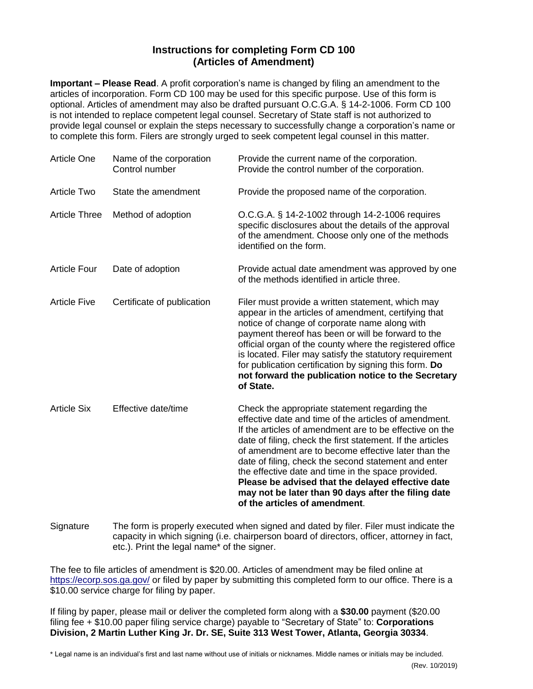## **Instructions for completing Form CD 100 (Articles of Amendment)**

**Important – Please Read**. A profit corporation's name is changed by filing an amendment to the articles of incorporation. Form CD 100 may be used for this specific purpose. Use of this form is optional. Articles of amendment may also be drafted pursuant O.C.G.A. § [1](http://www.sos.state.ga.us/cgi-bin/external.asp?link=www.legis.state.ga.us/cgi-bin/gl_codes_detail.pl?code=14-2-1006)4-2-1006. Form CD 100 is not intended to replace competent legal counsel. Secretary of State staff is not authorized to provide legal counsel or explain the steps necessary to successfully change a corporation's name or to complete this form. Filers are strongly urged to seek competent legal counsel in this matter.

| <b>Article One</b>   | Name of the corporation<br>Control number | Provide the current name of the corporation.<br>Provide the control number of the corporation.                                                                                                                                                                                                                                                                                                                                                                                                                                                    |
|----------------------|-------------------------------------------|---------------------------------------------------------------------------------------------------------------------------------------------------------------------------------------------------------------------------------------------------------------------------------------------------------------------------------------------------------------------------------------------------------------------------------------------------------------------------------------------------------------------------------------------------|
| Article Two          | State the amendment                       | Provide the proposed name of the corporation.                                                                                                                                                                                                                                                                                                                                                                                                                                                                                                     |
| <b>Article Three</b> | Method of adoption                        | O.C.G.A. § 14-2-1002 through 14-2-1006 requires<br>specific disclosures about the details of the approval<br>of the amendment. Choose only one of the methods<br>identified on the form.                                                                                                                                                                                                                                                                                                                                                          |
| <b>Article Four</b>  | Date of adoption                          | Provide actual date amendment was approved by one<br>of the methods identified in article three.                                                                                                                                                                                                                                                                                                                                                                                                                                                  |
| <b>Article Five</b>  | Certificate of publication                | Filer must provide a written statement, which may<br>appear in the articles of amendment, certifying that<br>notice of change of corporate name along with<br>payment thereof has been or will be forward to the<br>official organ of the county where the registered office<br>is located. Filer may satisfy the statutory requirement<br>for publication certification by signing this form. Do<br>not forward the publication notice to the Secretary<br>of State.                                                                             |
| <b>Article Six</b>   | Effective date/time                       | Check the appropriate statement regarding the<br>effective date and time of the articles of amendment.<br>If the articles of amendment are to be effective on the<br>date of filing, check the first statement. If the articles<br>of amendment are to become effective later than the<br>date of filing, check the second statement and enter<br>the effective date and time in the space provided.<br>Please be advised that the delayed effective date<br>may not be later than 90 days after the filing date<br>of the articles of amendment. |

Signature The form is properly executed when signed and dated by filer. Filer must indicate the capacity in which signing (i.e. chairperson board of directors, officer, attorney in fact, etc.). Print the legal name\* of the signer.

The fee to file articles of amendment is \$20.00. Articles of amendment may be filed online at <https://ecorp.sos.ga.gov/> or filed by paper by submitting this completed form to our office. There is a \$10.00 service charge for filing by paper.

If filing by paper, please mail or deliver the completed form along with a **\$30.00** payment (\$20.00 filing fee + \$10.00 paper filing service charge) payable to "Secretary of State" to: **Corporations Division, 2 Martin Luther King Jr. Dr. SE, Suite 313 West Tower, Atlanta, Georgia 30334**.

\* Legal name is an individual's first and last name without use of initials or nicknames. Middle names or initials may be included.